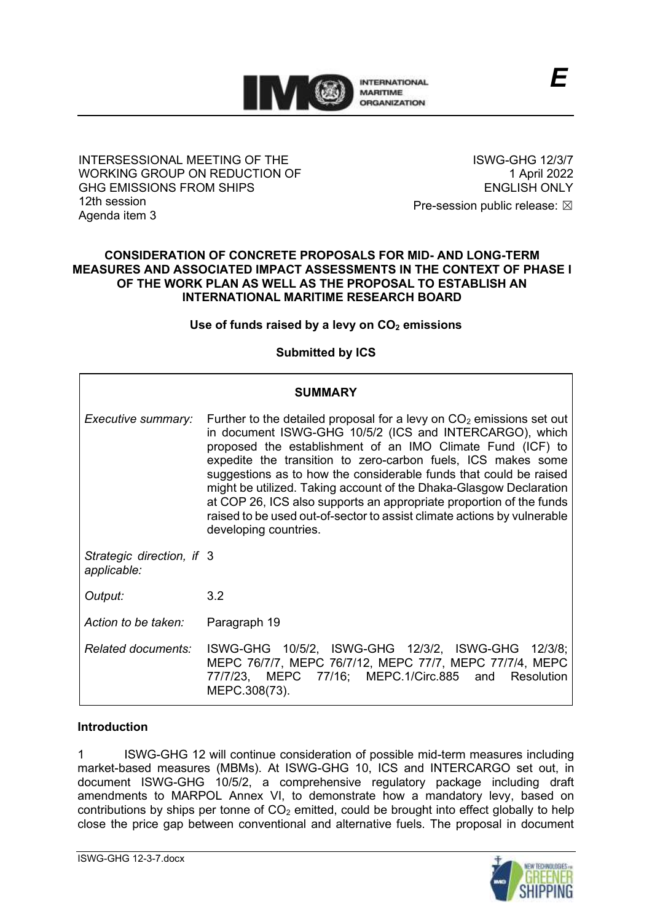

## INTERSESSIONAL MEETING OF THE WORKING GROUP ON REDUCTION OF GHG EMISSIONS FROM SHIPS 12th session Agenda item 3

ISWG-GHG 12/3/7 1 April 2022 ENGLISH ONLY

Pre-session public release:  $\boxtimes$ 

#### **CONSIDERATION OF CONCRETE PROPOSALS FOR MID- AND LONG-TERM MEASURES AND ASSOCIATED IMPACT ASSESSMENTS IN THE CONTEXT OF PHASE I OF THE WORK PLAN AS WELL AS THE PROPOSAL TO ESTABLISH AN INTERNATIONAL MARITIME RESEARCH BOARD**

## **Use of funds raised by a levy on CO<sup>2</sup> emissions**

# **Submitted by ICS**

| <b>SUMMARY</b>                           |                                                                                                                                                                                                                                                                                                                                                                                                                                                                                                                                                                                       |
|------------------------------------------|---------------------------------------------------------------------------------------------------------------------------------------------------------------------------------------------------------------------------------------------------------------------------------------------------------------------------------------------------------------------------------------------------------------------------------------------------------------------------------------------------------------------------------------------------------------------------------------|
| Executive summary:                       | Further to the detailed proposal for a levy on $CO2$ emissions set out<br>in document ISWG-GHG 10/5/2 (ICS and INTERCARGO), which<br>proposed the establishment of an IMO Climate Fund (ICF) to<br>expedite the transition to zero-carbon fuels, ICS makes some<br>suggestions as to how the considerable funds that could be raised<br>might be utilized. Taking account of the Dhaka-Glasgow Declaration<br>at COP 26, ICS also supports an appropriate proportion of the funds<br>raised to be used out-of-sector to assist climate actions by vulnerable<br>developing countries. |
| Strategic direction, if 3<br>applicable: |                                                                                                                                                                                                                                                                                                                                                                                                                                                                                                                                                                                       |
| Output:                                  | 3.2                                                                                                                                                                                                                                                                                                                                                                                                                                                                                                                                                                                   |
| Action to be taken:                      | Paragraph 19                                                                                                                                                                                                                                                                                                                                                                                                                                                                                                                                                                          |
| Related documents:                       | ISWG-GHG 10/5/2, ISWG-GHG 12/3/2, ISWG-GHG 12/3/8;<br>MEPC 76/7/7, MEPC 76/7/12, MEPC 77/7, MEPC 77/7/4, MEPC<br>77/7/23, MEPC 77/16; MEPC.1/Circ.885 and Resolution<br>MEPC.308(73).                                                                                                                                                                                                                                                                                                                                                                                                 |

## **Introduction**

1 ISWG-GHG 12 will continue consideration of possible mid-term measures including market-based measures (MBMs). At ISWG-GHG 10, ICS and INTERCARGO set out, in document ISWG-GHG 10/5/2, a comprehensive regulatory package including draft amendments to MARPOL Annex VI, to demonstrate how a mandatory levy, based on contributions by ships per tonne of  $CO<sub>2</sub>$  emitted, could be brought into effect globally to help close the price gap between conventional and alternative fuels. The proposal in document

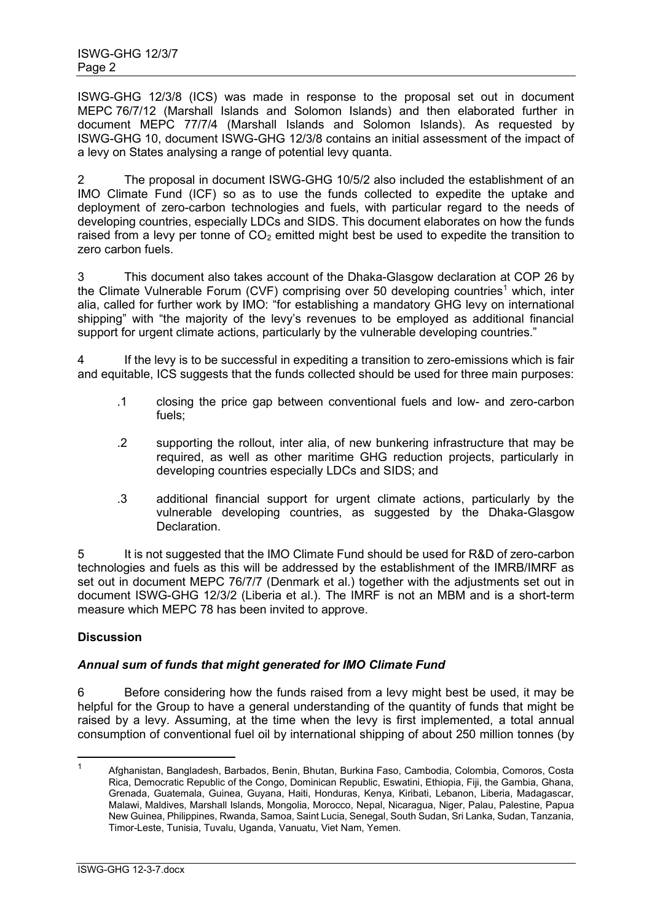ISWG-GHG 12/3/8 (ICS) was made in response to the proposal set out in document MEPC 76/7/12 (Marshall Islands and Solomon Islands) and then elaborated further in document MEPC 77/7/4 (Marshall Islands and Solomon Islands). As requested by ISWG-GHG 10, document ISWG-GHG 12/3/8 contains an initial assessment of the impact of a levy on States analysing a range of potential levy quanta.

2 The proposal in document ISWG-GHG 10/5/2 also included the establishment of an IMO Climate Fund (ICF) so as to use the funds collected to expedite the uptake and deployment of zero-carbon technologies and fuels, with particular regard to the needs of developing countries, especially LDCs and SIDS. This document elaborates on how the funds raised from a levy per tonne of  $CO<sub>2</sub>$  emitted might best be used to expedite the transition to zero carbon fuels.

3 This document also takes account of the Dhaka-Glasgow declaration at COP 26 by the Climate Vulnerable Forum (CVF) comprising over 50 developing countries<sup>1</sup> which, inter alia, called for further work by IMO: "for establishing a mandatory GHG levy on international shipping" with "the majority of the levy's revenues to be employed as additional financial support for urgent climate actions, particularly by the vulnerable developing countries."

4 If the levy is to be successful in expediting a transition to zero-emissions which is fair and equitable, ICS suggests that the funds collected should be used for three main purposes:

- .1 closing the price gap between conventional fuels and low- and zero-carbon fuels;
- .2 supporting the rollout, inter alia, of new bunkering infrastructure that may be required, as well as other maritime GHG reduction projects, particularly in developing countries especially LDCs and SIDS; and
- .3 additional financial support for urgent climate actions, particularly by the vulnerable developing countries, as suggested by the Dhaka-Glasgow **Declaration**

5 It is not suggested that the IMO Climate Fund should be used for R&D of zero-carbon technologies and fuels as this will be addressed by the establishment of the IMRB/IMRF as set out in document MEPC 76/7/7 (Denmark et al.) together with the adjustments set out in document ISWG-GHG 12/3/2 (Liberia et al.). The IMRF is not an MBM and is a short-term measure which MEPC 78 has been invited to approve.

# **Discussion**

# *Annual sum of funds that might generated for IMO Climate Fund*

6 Before considering how the funds raised from a levy might best be used, it may be helpful for the Group to have a general understanding of the quantity of funds that might be raised by a levy. Assuming, at the time when the levy is first implemented, a total annual consumption of conventional fuel oil by international shipping of about 250 million tonnes (by

<sup>1</sup> Afghanistan, Bangladesh, Barbados, Benin, Bhutan, Burkina Faso, Cambodia, Colombia, Comoros, Costa Rica, Democratic Republic of the Congo, Dominican Republic, Eswatini, Ethiopia, Fiji, the Gambia, Ghana, Grenada, Guatemala, Guinea, Guyana, Haiti, Honduras, Kenya, Kiribati, Lebanon, Liberia, Madagascar, Malawi, Maldives, Marshall Islands, Mongolia, Morocco, Nepal, Nicaragua, Niger, Palau, Palestine, Papua New Guinea, Philippines, Rwanda, Samoa, Saint Lucia, Senegal, South Sudan, Sri Lanka, Sudan, Tanzania, Timor-Leste, Tunisia, Tuvalu, Uganda, Vanuatu, Viet Nam, Yemen.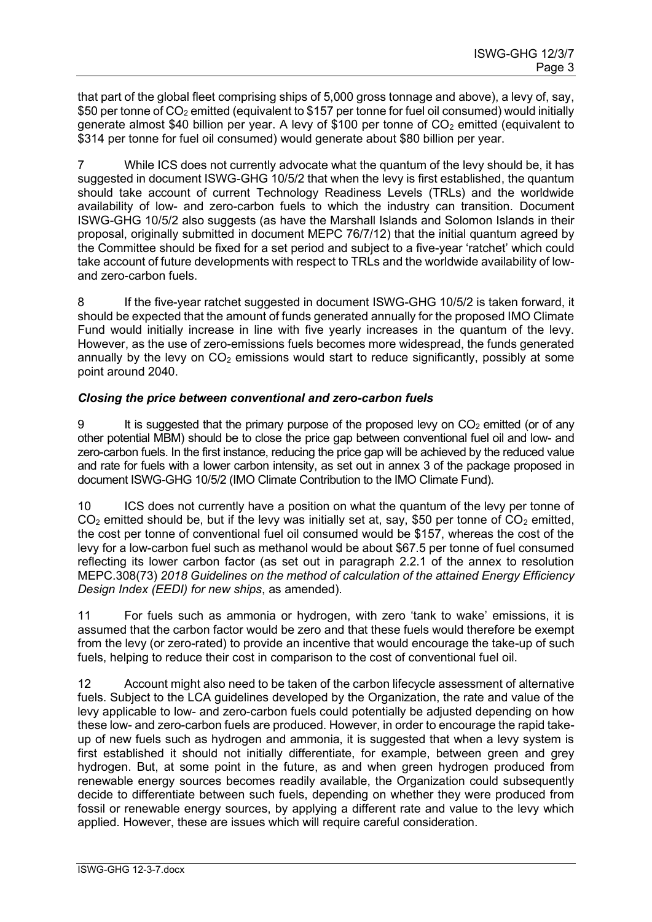that part of the global fleet comprising ships of 5,000 gross tonnage and above), a levy of, say, \$50 per tonne of CO<sub>2</sub> emitted (equivalent to \$157 per tonne for fuel oil consumed) would initially generate almost \$40 billion per year. A levy of \$100 per tonne of  $CO<sub>2</sub>$  emitted (equivalent to \$314 per tonne for fuel oil consumed) would generate about \$80 billion per year.

7 While ICS does not currently advocate what the quantum of the levy should be, it has suggested in document ISWG-GHG 10/5/2 that when the levy is first established, the quantum should take account of current Technology Readiness Levels (TRLs) and the worldwide availability of low- and zero-carbon fuels to which the industry can transition. Document ISWG-GHG 10/5/2 also suggests (as have the Marshall Islands and Solomon Islands in their proposal, originally submitted in document MEPC 76/7/12) that the initial quantum agreed by the Committee should be fixed for a set period and subject to a five-year 'ratchet' which could take account of future developments with respect to TRLs and the worldwide availability of lowand zero-carbon fuels.

8 If the five-year ratchet suggested in document ISWG-GHG 10/5/2 is taken forward, it should be expected that the amount of funds generated annually for the proposed IMO Climate Fund would initially increase in line with five yearly increases in the quantum of the levy. However, as the use of zero-emissions fuels becomes more widespread, the funds generated annually by the levy on  $CO<sub>2</sub>$  emissions would start to reduce significantly, possibly at some point around 2040.

# *Closing the price between conventional and zero-carbon fuels*

9 It is suggested that the primary purpose of the proposed levy on  $CO<sub>2</sub>$  emitted (or of any other potential MBM) should be to close the price gap between conventional fuel oil and low- and zero-carbon fuels. In the first instance, reducing the price gap will be achieved by the reduced value and rate for fuels with a lower carbon intensity, as set out in annex 3 of the package proposed in document ISWG-GHG 10/5/2 (IMO Climate Contribution to the IMO Climate Fund).

10 ICS does not currently have a position on what the quantum of the levy per tonne of  $CO<sub>2</sub>$  emitted should be, but if the levy was initially set at, say, \$50 per tonne of  $CO<sub>2</sub>$  emitted, the cost per tonne of conventional fuel oil consumed would be \$157, whereas the cost of the levy for a low-carbon fuel such as methanol would be about \$67.5 per tonne of fuel consumed reflecting its lower carbon factor (as set out in paragraph 2.2.1 of the annex to resolution MEPC.308(73) *2018 Guidelines on the method of calculation of the attained Energy Efficiency Design Index (EEDI) for new ships*, as amended).

11 For fuels such as ammonia or hydrogen, with zero 'tank to wake' emissions, it is assumed that the carbon factor would be zero and that these fuels would therefore be exempt from the levy (or zero-rated) to provide an incentive that would encourage the take-up of such fuels, helping to reduce their cost in comparison to the cost of conventional fuel oil.

12 Account might also need to be taken of the carbon lifecycle assessment of alternative fuels. Subject to the LCA guidelines developed by the Organization, the rate and value of the levy applicable to low- and zero-carbon fuels could potentially be adjusted depending on how these low- and zero-carbon fuels are produced. However, in order to encourage the rapid takeup of new fuels such as hydrogen and ammonia, it is suggested that when a levy system is first established it should not initially differentiate, for example, between green and grey hydrogen. But, at some point in the future, as and when green hydrogen produced from renewable energy sources becomes readily available, the Organization could subsequently decide to differentiate between such fuels, depending on whether they were produced from fossil or renewable energy sources, by applying a different rate and value to the levy which applied. However, these are issues which will require careful consideration.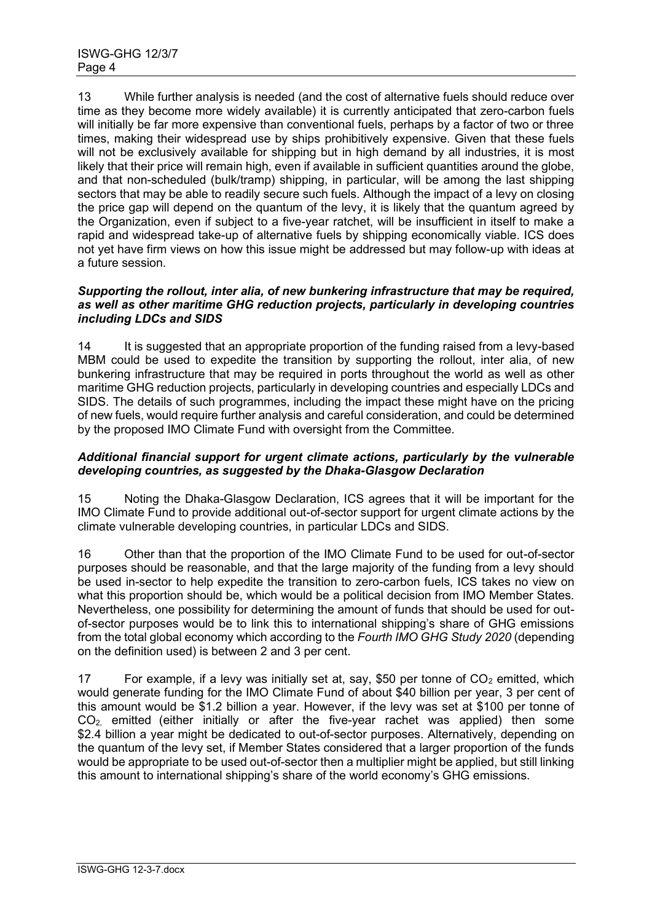13 While further analysis is needed (and the cost of alternative fuels should reduce over time as they become more widely available) it is currently anticipated that zero-carbon fuels will initially be far more expensive than conventional fuels, perhaps by a factor of two or three times, making their widespread use by ships prohibitively expensive. Given that these fuels will not be exclusively available for shipping but in high demand by all industries, it is most likely that their price will remain high, even if available in sufficient quantities around the globe, and that non-scheduled (bulk/tramp) shipping, in particular, will be among the last shipping sectors that may be able to readily secure such fuels. Although the impact of a levy on closing the price gap will depend on the quantum of the levy, it is likely that the quantum agreed by the Organization, even if subject to a five-year ratchet, will be insufficient in itself to make a rapid and widespread take-up of alternative fuels by shipping economically viable. ICS does not yet have firm views on how this issue might be addressed but may follow-up with ideas at a future session.

#### *Supporting the rollout, inter alia, of new bunkering infrastructure that may be required, as well as other maritime GHG reduction projects, particularly in developing countries including LDCs and SIDS*

14 It is suggested that an appropriate proportion of the funding raised from a levy-based MBM could be used to expedite the transition by supporting the rollout, inter alia, of new bunkering infrastructure that may be required in ports throughout the world as well as other maritime GHG reduction projects, particularly in developing countries and especially LDCs and SIDS. The details of such programmes, including the impact these might have on the pricing of new fuels, would require further analysis and careful consideration, and could be determined by the proposed IMO Climate Fund with oversight from the Committee.

## *Additional financial support for urgent climate actions, particularly by the vulnerable developing countries, as suggested by the Dhaka-Glasgow Declaration*

15 Noting the Dhaka-Glasgow Declaration, ICS agrees that it will be important for the IMO Climate Fund to provide additional out-of-sector support for urgent climate actions by the climate vulnerable developing countries, in particular LDCs and SIDS.

16 Other than that the proportion of the IMO Climate Fund to be used for out-of-sector purposes should be reasonable, and that the large majority of the funding from a levy should be used in-sector to help expedite the transition to zero-carbon fuels, ICS takes no view on what this proportion should be, which would be a political decision from IMO Member States. Nevertheless, one possibility for determining the amount of funds that should be used for outof-sector purposes would be to link this to international shipping's share of GHG emissions from the total global economy which according to the *Fourth IMO GHG Study 2020* (depending on the definition used) is between 2 and 3 per cent.

17 For example, if a levy was initially set at, say, \$50 per tonne of  $CO<sub>2</sub>$  emitted, which would generate funding for the IMO Climate Fund of about \$40 billion per year, 3 per cent of this amount would be \$1.2 billion a year. However, if the levy was set at \$100 per tonne of  $CO<sub>2</sub>$  emitted (either initially or after the five-year rachet was applied) then some \$2.4 billion a year might be dedicated to out-of-sector purposes. Alternatively, depending on the quantum of the levy set, if Member States considered that a larger proportion of the funds would be appropriate to be used out-of-sector then a multiplier might be applied, but still linking this amount to international shipping's share of the world economy's GHG emissions.